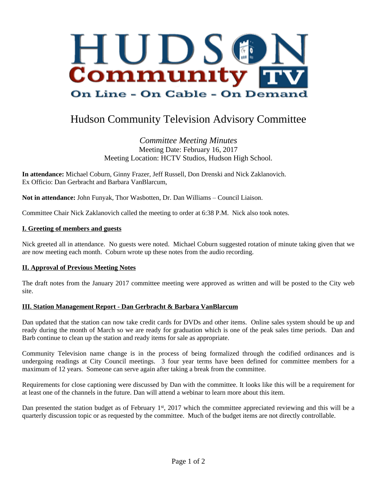

# Hudson Community Television Advisory Committee

# *Committee Meeting Minutes* Meeting Date: February 16, 2017 Meeting Location: HCTV Studios, Hudson High School.

**In attendance:** Michael Coburn, Ginny Frazer, Jeff Russell, Don Drenski and Nick Zaklanovich. Ex Officio: Dan Gerbracht and Barbara VanBlarcum,

**Not in attendance:** John Funyak, Thor Wasbotten, Dr. Dan Williams – Council Liaison.

Committee Chair Nick Zaklanovich called the meeting to order at 6:38 P.M. Nick also took notes.

#### **I. Greeting of members and guests**

Nick greeted all in attendance. No guests were noted. Michael Coburn suggested rotation of minute taking given that we are now meeting each month. Coburn wrote up these notes from the audio recording.

#### **II. Approval of Previous Meeting Notes**

The draft notes from the January 2017 committee meeting were approved as written and will be posted to the City web site.

#### **III. Station Management Report - Dan Gerbracht & Barbara VanBlarcum**

Dan updated that the station can now take credit cards for DVDs and other items. Online sales system should be up and ready during the month of March so we are ready for graduation which is one of the peak sales time periods. Dan and Barb continue to clean up the station and ready items for sale as appropriate.

Community Television name change is in the process of being formalized through the codified ordinances and is undergoing readings at City Council meetings. 3 four year terms have been defined for committee members for a maximum of 12 years. Someone can serve again after taking a break from the committee.

Requirements for close captioning were discussed by Dan with the committee. It looks like this will be a requirement for at least one of the channels in the future. Dan will attend a webinar to learn more about this item.

Dan presented the station budget as of February 1<sup>st</sup>, 2017 which the committee appreciated reviewing and this will be a quarterly discussion topic or as requested by the committee. Much of the budget items are not directly controllable.